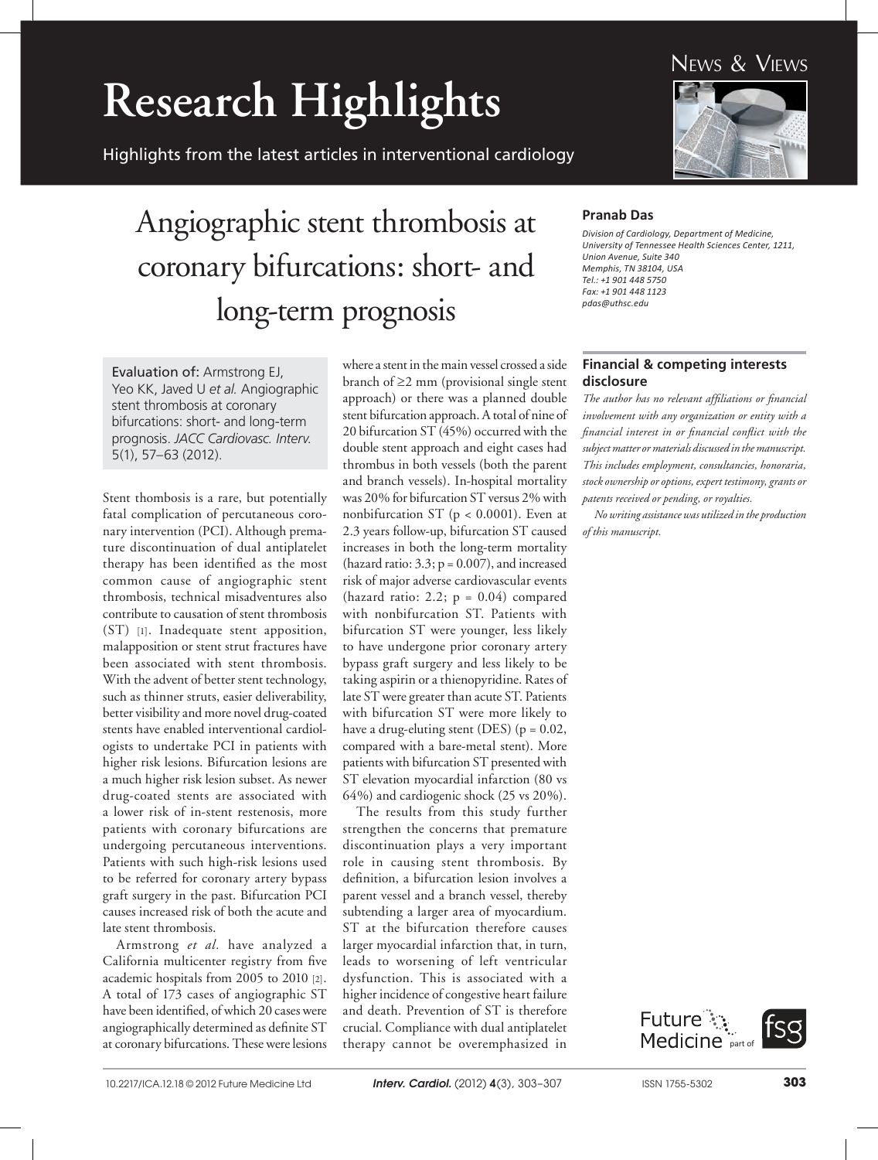# **Research Highlights**

Highlights from the latest articles in interventional cardiology

### News & Views



## Angiographic stent thrombosis at coronary bifurcations: short- and long-term prognosis

Evaluation of: Armstrong EJ, Yeo KK, Javed U *et al.* Angiographic stent thrombosis at coronary bifurcations: short- and long-term prognosis. *JACC Cardiovasc. Interv.*  5(1), 57–63 (2012).

Stent thombosis is a rare, but potentially fatal complication of percutaneous coronary intervention (PCI). Although premature discontinuation of dual antiplatelet therapy has been identified as the most common cause of angiographic stent thrombosis, technical misadventures also contribute to causation of stent thrombosis (ST) [1]. Inadequate stent apposition, malapposition or stent strut fractures have been associated with stent thrombosis. With the advent of better stent technology, such as thinner struts, easier deliverability, better visibility and more novel drug-coated stents have enabled interventional cardiologists to undertake PCI in patients with higher risk lesions. Bifurcation lesions are a much higher risk lesion subset. As newer drug-coated stents are associated with a lower risk of in-stent restenosis, more patients with coronary bifurcations are undergoing percutaneous interventions. Patients with such high-risk lesions used to be referred for coronary artery bypass graft surgery in the past. Bifurcation PCI causes increased risk of both the acute and late stent thrombosis.

Armstrong *et al.* have analyzed a California multicenter registry from five academic hospitals from 2005 to 2010 [2]. A total of 173 cases of angiographic ST have been identified, of which 20 cases were angiographically determined as definite ST at coronary bifurcations. These were lesions

where a stent in the main vessel crossed a side branch of ≥2 mm (provisional single stent approach) or there was a planned double stent bifurcation approach. A total of nine of 20 bifurcation ST (45%) occurred with the double stent approach and eight cases had thrombus in both vessels (both the parent and branch vessels). In-hospital mortality was 20% for bifurcation ST versus 2% with nonbifurcation ST (p < 0.0001). Even at 2.3 years follow-up, bifurcation ST caused increases in both the long-term mortality (hazard ratio:  $3.3$ ;  $p = 0.007$ ), and increased risk of major adverse cardiovascular events (hazard ratio: 2.2;  $p = 0.04$ ) compared with nonbifurcation ST. Patients with bifurcation ST were younger, less likely to have undergone prior coronary artery bypass graft surgery and less likely to be taking aspirin or a thienopyridine. Rates of late ST were greater than acute ST. Patients with bifurcation ST were more likely to have a drug-eluting stent (DES) ( $p = 0.02$ , compared with a bare-metal stent). More patients with bifurcation ST presented with ST elevation myocardial infarction (80 vs 64%) and cardiogenic shock (25 vs 20%).

The results from this study further strengthen the concerns that premature discontinuation plays a very important role in causing stent thrombosis. By definition, a bifurcation lesion involves a parent vessel and a branch vessel, thereby subtending a larger area of myocardium. ST at the bifurcation therefore causes larger myocardial infarction that, in turn, leads to worsening of left ventricular dysfunction. This is associated with a higher incidence of congestive heart failure and death. Prevention of ST is therefore crucial. Compliance with dual antiplatelet therapy cannot be overemphasized in

#### **Pranab Das**

*Division of Cardiology, Department of Medicine, University of Tennessee Health Sciences Center, 1211, Union Avenue, Suite 340 Memphis, TN 38104, USA Tel.: +1 901 448 5750 Fax: +1 901 448 1123 pdas@uthsc.edu*

#### **Financial & competing interests disclosure**

*The author has no relevant affiliations or financial involvement with any organization or entity with a financial interest in or financial conflict with the subject matter or materials discussed in the manuscript. This includes employment, consultancies, honoraria, stock ownership or options, expert testimony, grants or patents received or pending, or royalties.*

*No writing assistance was utilized in the production of this manuscript.*

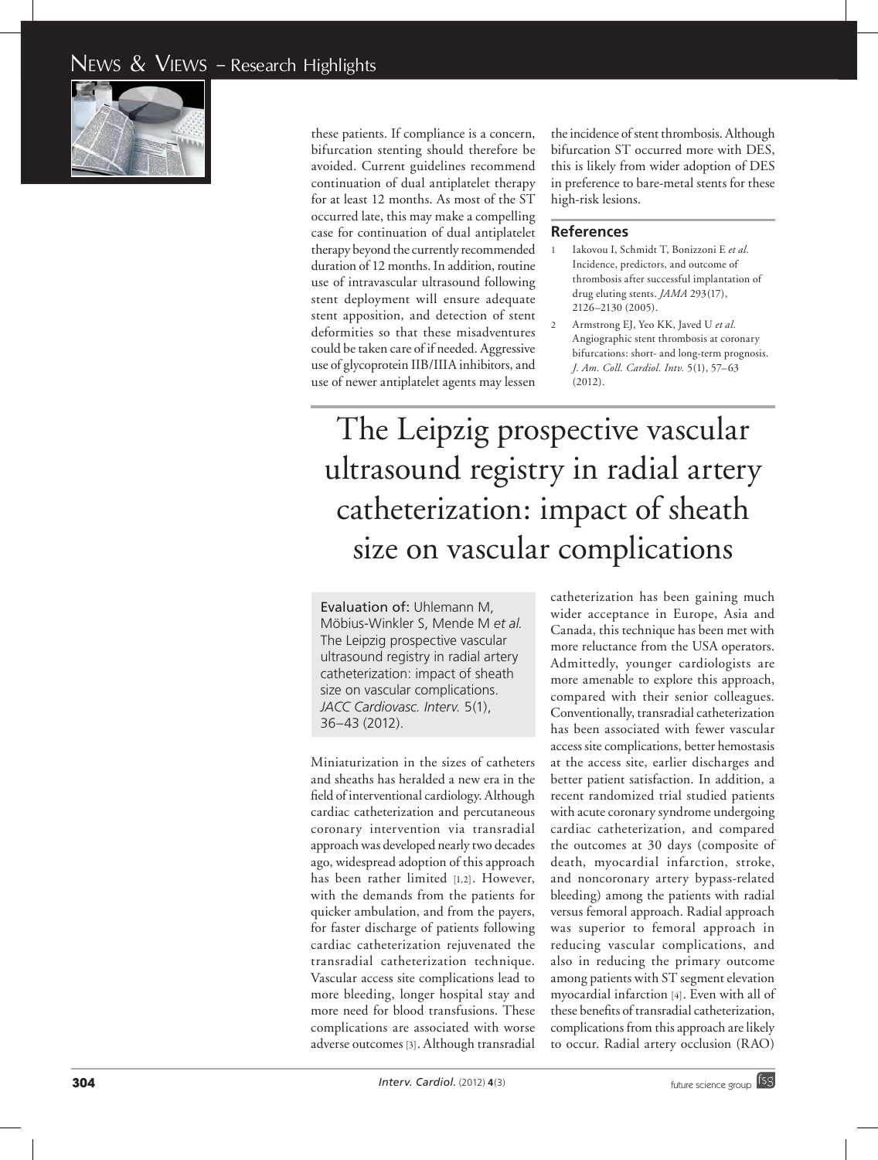

these patients. If compliance is a concern, bifurcation stenting should therefore be avoided. Current guidelines recommend continuation of dual antiplatelet therapy for at least 12 months. As most of the ST occurred late, this may make a compelling case for continuation of dual antiplatelet therapy beyond the currently recommended duration of 12 months. In addition, routine use of intravascular ultrasound following stent deployment will ensure adequate stent apposition, and detection of stent deformities so that these misadventures could be taken care of if needed. Aggressive use of glycoprotein IIB/IIIA inhibitors, and use of newer antiplatelet agents may lessen

the incidence of stent thrombosis. Although bifurcation ST occurred more with DES, this is likely from wider adoption of DES in preference to bare-metal stents for these high-risk lesions.

#### **References**

- 1 Iakovou I, Schmidt T, Bonizzoni E *et al.* Incidence, predictors, and outcome of thrombosis after successful implantation of drug eluting stents. *JAMA* 293(17), 2126–2130 (2005).
	- 2 Armstrong EJ, Yeo KK, Javed U *et al.* Angiographic stent thrombosis at coronary bifurcations: short- and long-term prognosis. *J. Am. Coll. Cardiol. Intv.* 5(1), 57–63 (2012).

### The Leipzig prospective vascular ultrasound registry in radial artery catheterization: impact of sheath size on vascular complications

Evaluation of: Uhlemann M, Möbius-Winkler S, Mende M *et al.*  The Leipzig prospective vascular ultrasound registry in radial artery catheterization: impact of sheath size on vascular complications. *JACC Cardiovasc. Interv.* 5(1), 36–43 (2012).

Miniaturization in the sizes of catheters and sheaths has heralded a new era in the field of interventional cardiology. Although cardiac catheterization and percutaneous coronary intervention via transradial approach was developed nearly two decades ago, widespread adoption of this approach has been rather limited [1,2]. However, with the demands from the patients for quicker ambulation, and from the payers, for faster discharge of patients following cardiac catheterization rejuvenated the transradial catheterization technique. Vascular access site complications lead to more bleeding, longer hospital stay and more need for blood transfusions. These complications are associated with worse adverse outcomes [3]. Although transradial

catheterization has been gaining much wider acceptance in Europe, Asia and Canada, this technique has been met with more reluctance from the USA operators. Admittedly, younger cardiologists are more amenable to explore this approach, compared with their senior colleagues. Conventionally, transradial catheterization has been associated with fewer vascular access site complications, better hemostasis at the access site, earlier discharges and better patient satisfaction. In addition, a recent randomized trial studied patients with acute coronary syndrome undergoing cardiac catheterization, and compared the outcomes at 30 days (composite of death, myocardial infarction, stroke, and noncoronary artery bypass-related bleeding) among the patients with radial versus femoral approach. Radial approach was superior to femoral approach in reducing vascular complications, and also in reducing the primary outcome among patients with ST segment elevation myocardial infarction [4]. Even with all of these benefits of transradial catheterization, complications from this approach are likely to occur. Radial artery occlusion (RAO)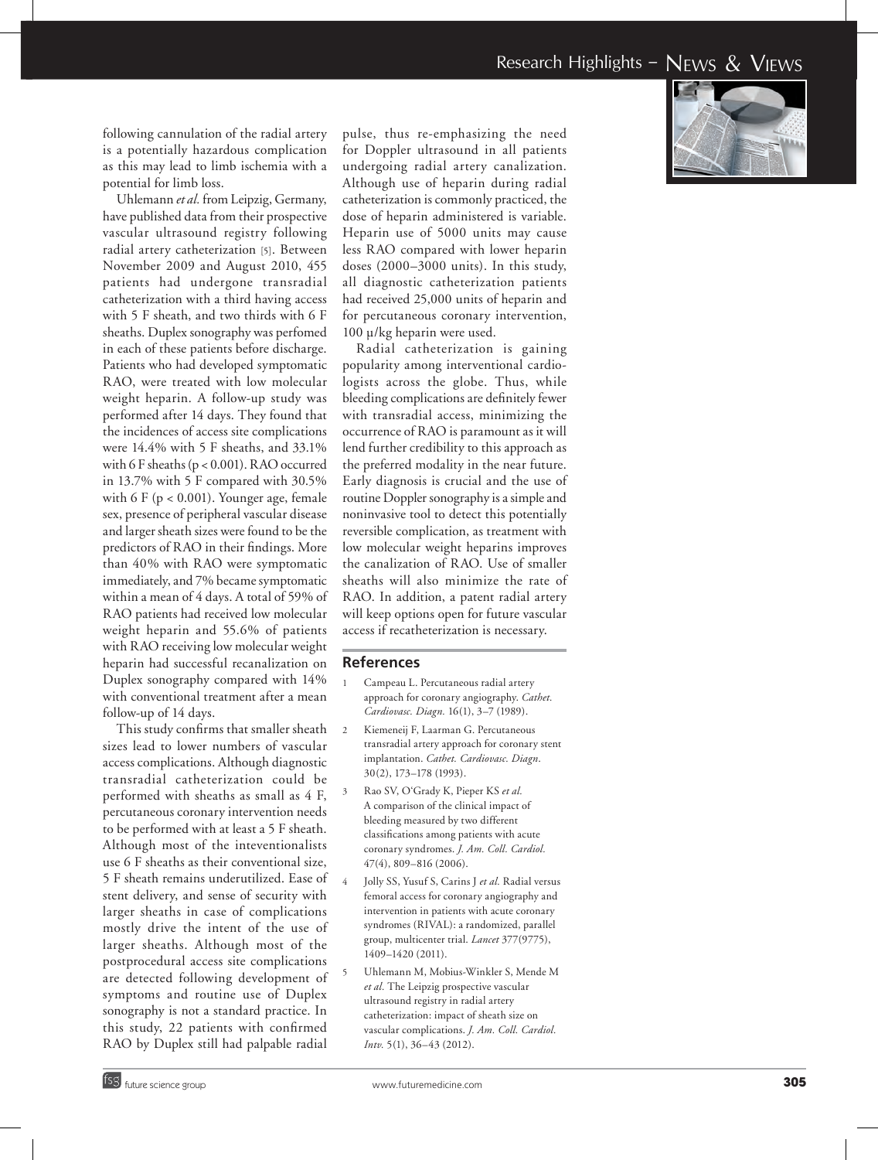following cannulation of the radial artery is a potentially hazardous complication as this may lead to limb ischemia with a potential for limb loss.

Uhlemann *et al.* from Leipzig, Germany, have published data from their prospective vascular ultrasound registry following radial artery catheterization [5]. Between November 2009 and August 2010, 455 patients had undergone transradial catheterization with a third having access with 5 F sheath, and two thirds with 6 F sheaths. Duplex sonography was perfomed in each of these patients before discharge. Patients who had developed symptomatic RAO, were treated with low molecular weight heparin. A follow-up study was performed after 14 days. They found that the incidences of access site complications were 14.4% with 5 F sheaths, and 33.1% with 6 F sheaths (p < 0.001). RAO occurred in 13.7% with 5 F compared with 30.5% with 6 F (p < 0.001). Younger age, female sex, presence of peripheral vascular disease and larger sheath sizes were found to be the predictors of RAO in their findings. More than 40% with RAO were symptomatic immediately, and 7% became symptomatic within a mean of 4 days. A total of 59% of RAO patients had received low molecular weight heparin and 55.6% of patients with RAO receiving low molecular weight heparin had successful recanalization on Duplex sonography compared with 14% with conventional treatment after a mean follow-up of 14 days.

This study confirms that smaller sheath sizes lead to lower numbers of vascular access complications. Although diagnostic transradial catheterization could be performed with sheaths as small as 4 F, percutaneous coronary intervention needs to be performed with at least a 5 F sheath. Although most of the inteventionalists use 6 F sheaths as their conventional size, 5 F sheath remains underutilized. Ease of stent delivery, and sense of security with larger sheaths in case of complications mostly drive the intent of the use of larger sheaths. Although most of the postprocedural access site complications are detected following development of symptoms and routine use of Duplex sonography is not a standard practice. In this study, 22 patients with confirmed RAO by Duplex still had palpable radial

pulse, thus re-emphasizing the need for Doppler ultrasound in all patients undergoing radial artery canalization. Although use of heparin during radial catheterization is commonly practiced, the dose of heparin administered is variable. Heparin use of 5000 units may cause less RAO compared with lower heparin doses (2000–3000 units). In this study, all diagnostic catheterization patients had received 25,000 units of heparin and for percutaneous coronary intervention, 100 µ/kg heparin were used.

Radial catheterization is gaining popularity among interventional cardio logists across the globe. Thus, while bleeding complications are definitely fewer with transradial access, minimizing the occurrence of RAO is paramount as it will lend further credibility to this approach as the preferred modality in the near future. Early diagnosis is crucial and the use of routine Doppler sonography is a simple and noninvasive tool to detect this potentially reversible complication, as treatment with low molecular weight heparins improves the canalization of RAO. Use of smaller sheaths will also minimize the rate of RAO. In addition, a patent radial artery will keep options open for future vascular access if recatheterization is necessary.

#### **References**

- 1 Campeau L. Percutaneous radial artery approach for coronary angiography. *Cathet. Cardiovasc. Diagn.* 16(1), 3–7 (1989).
- 2 Kiemeneij F, Laarman G. Percutaneous transradial artery approach for coronary stent implantation. *Cathet. Cardiovasc. Diagn*. 30(2), 173–178 (1993).
- 3 Rao SV, O'Grady K, Pieper KS *et al.* A comparison of the clinical impact of bleeding measured by two different classifications among patients with acute coronary syndromes. *J. Am. Coll. Cardiol.* 47(4), 809–816 (2006).
- <sup>4</sup> Jolly SS, Yusuf S, Carins J *et al.* Radial versus femoral access for coronary angiography and intervention in patients with acute coronary syndromes (RIVAL): a randomized, parallel group, multicenter trial. *Lancet* 377(9775), 1409–1420 (2011).
- 5 Uhlemann M, Mobius-Winkler S, Mende M *et al.* The Leipzig prospective vascular ultrasound registry in radial artery catheterization: impact of sheath size on vascular complications. *J. Am. Coll. Cardiol. Intv.* 5(1), 36–43 (2012).

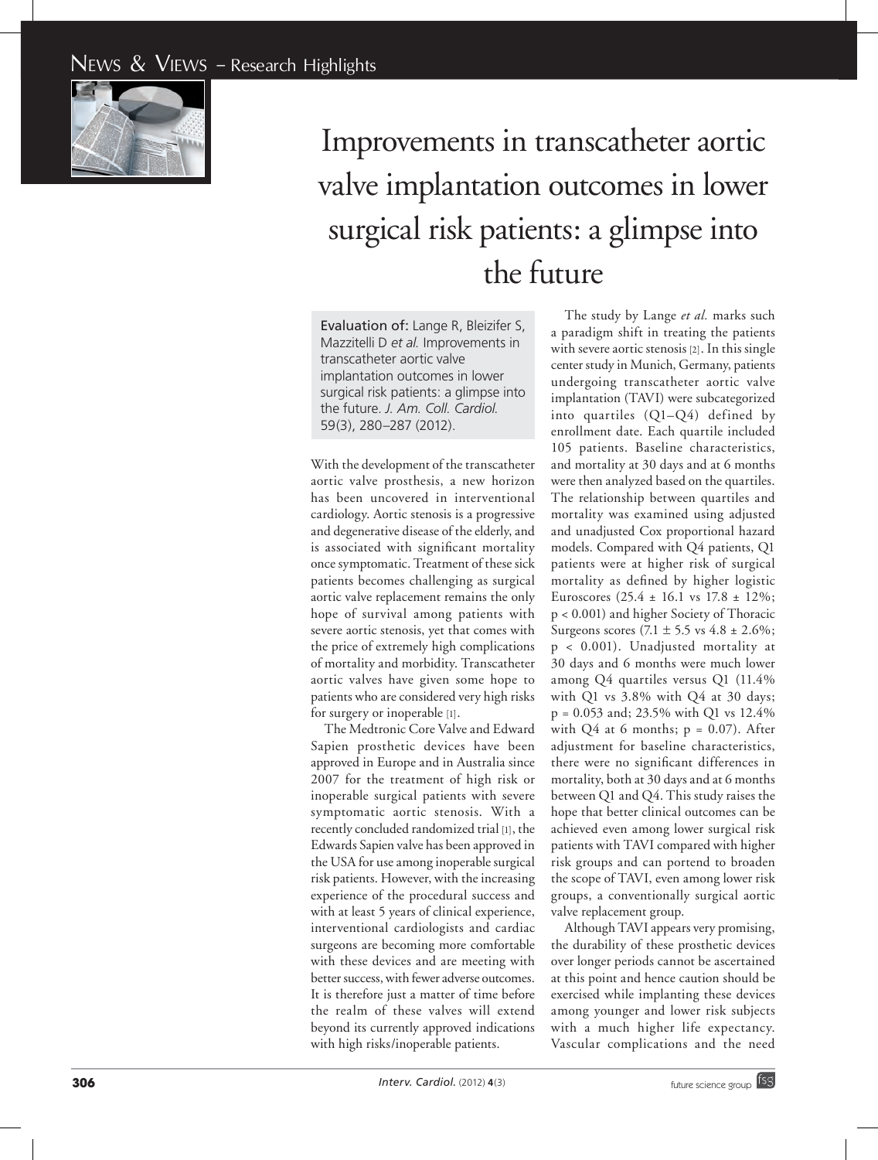

## Improvements in transcatheter aortic valve implantation outcomes in lower surgical risk patients: a glimpse into the future

Evaluation of: Lange R, Bleizifer S, Mazzitelli D *et al.* Improvements in transcatheter aortic valve implantation outcomes in lower surgical risk patients: a glimpse into the future. *J. Am. Coll. Cardiol.*  59(3), 280–287 (2012).

With the development of the transcatheter aortic valve prosthesis, a new horizon has been uncovered in interventional cardiology. Aortic stenosis is a progressive and degenerative disease of the elderly, and is associated with significant mortality once symptomatic. Treatment of these sick patients becomes challenging as surgical aortic valve replacement remains the only hope of survival among patients with severe aortic stenosis, yet that comes with the price of extremely high complications of mortality and morbidity. Transcatheter aortic valves have given some hope to patients who are considered very high risks for surgery or inoperable [1] .

The Medtronic Core Valve and Edward Sapien prosthetic devices have been approved in Europe and in Australia since 2007 for the treatment of high risk or inoperable surgical patients with severe symptomatic aortic stenosis. With a recently concluded randomized trial [1], the Edwards Sapien valve has been approved in the USA for use among inoperable surgical risk patients. However, with the increasing experience of the procedural success and with at least 5 years of clinical experience, interventional cardiologists and cardiac surgeons are becoming more comfortable with these devices and are meeting with better success, with fewer adverse outcomes. It is therefore just a matter of time before the realm of these valves will extend beyond its currently approved indications with high risks/inoperable patients.

The study by Lange *et al.* marks such a paradigm shift in treating the patients with severe aortic stenosis [2]. In this single center study in Munich, Germany, patients undergoing transcatheter aortic valve implantation (TAVI) were subcategorized into quartiles (Q1–Q4) defined by enrollment date. Each quartile included 105 patients. Baseline characteristics, and mortality at 30 days and at 6 months were then analyzed based on the quartiles. The relationship between quartiles and mortality was examined using adjusted and unadjusted Cox proportional hazard models. Compared with Q4 patients, Q1 patients were at higher risk of surgical mortality as defined by higher logistic Euroscores (25.4 ± 16.1 vs 17.8 ± 12%; p < 0.001) and higher Society of Thoracic Surgeons scores  $(7.1 \pm 5.5 \text{ vs } 4.8 \pm 2.6\%);$ p < 0.001). Unadjusted mortality at 30 days and 6 months were much lower among Q4 quartiles versus Q1 (11.4% with Q1 vs 3.8% with Q4 at 30 days; p <sup>=</sup> 0.053 and; 23.5% with Q1 vs 12.4% with Q4 at 6 months; p = 0.07). After adjustment for baseline characteristics, there were no significant differences in mortality, both at 30 days and at 6 months between Q1 and Q4. This study raises the hope that better clinical outcomes can be achieved even among lower surgical risk patients with TAVI compared with higher risk groups and can portend to broaden the scope of TAVI, even among lower risk groups, a conventionally surgical aortic valve replacement group.

Although TAVI appears very promising, the durability of these prosthetic devices over longer periods cannot be ascertained at this point and hence caution should be exercised while implanting these devices among younger and lower risk subjects with a much higher life expectancy. Vascular complications and the need